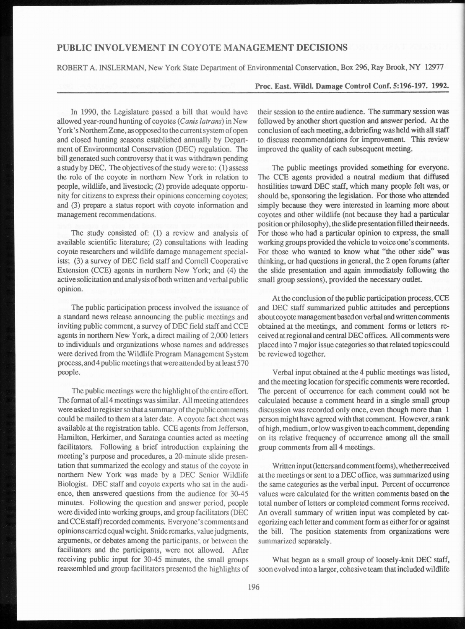## PUBLIC INVOLVEMENT IN COYOTE MANAGEMENT DECISIONS

ROBERT A. INSLERMAN, New York State Department of Environmental Conservation, Box 296, Ray Brook, NY 12977

## **Proc. East. Wildl. Damage Control Conf. 5:196-197. 1992.**

In 1990, the Legislature passed a bill that would have allowed year-round hunting of coyotes *(Canis latrans)* in New York's Northern Zone, as opposed to the current system of open and closed hunting seasons established annually by Department of Environmental Conservation (DEC) regulation. The bill generated such controversy that it was withdrawn pending a study by DEC. The objectives of the study were to: (I) assess the role of the coyote in northern New York in relation to people, wildlife, and livestock; (2) provide adequate opportunity for citizens to express their opinions concerning coyotes; and (3) prepare a status report with coyote information and management recommendations.

The study consisted of: (1) a review and analysis of available scientific literature; (2) consultations with leading coyote researchers and wildlife damage management specialists; (3) a survey of DEC field staff and Cornell Cooperative Extension (CCE) agents in northern New York; and (4) the active solicitation and analysis of both written and verbal public opinion.

The public participation process involved the issuance of a standard news release announcing the public meetings and inviting public comment, a survey of DEC field staff and CCE agents in northern New York, a direct mailing of 2,000 letters to individuals and organizations whose names and addresses were derived from the Wildlife Program Management System process, and 4 public meetings that were attended by at least 570 people.

The public meetings were the highlight of the entire effort. The format of all 4 meetings was similar. All meeting attendees were asked to register so that a summary of the public comments could be mailed to them at a later date. A coyote fact sheet was available at the registration table. CCE agents from Jefferson, Hamilton, Herkimer, and Saratoga counties acted as meeting facilitators. Following a brief introduction explaining the meeting's purpose and procedures, a 20-minute slide presentation that summarized the ecology and status of the coyote in northern New York was made by a DEC Senior Wildlife Biologist. DEC staff and coyote experts who sat in the audience, then answered questions from the audience for 30-45 minutes. Following the question and answer period, people were divided into working groups, and group facilitators (DEC and CCE staff) recorded comments. Everyone's comments and opinions carried equal weight. Snide remarks, value judgments, arguments, or debates among the participants, or between the facilitators and the participants, were not allowed. After receiving public input for 30-45 minutes, the small groups reassembled and group facilitators presented the highlights of their session to the entire audience. The summary session was followed by another short question and answer period. At the conclusion of each meeting, a debriefing was held with all staff to discuss recommendations for improvement. This review improved the quality of each subsequent meeting.

The public meetings provided something for everyone. The CCE agents provided a neutral medium that diffused hostilities toward DEC staff, which many people felt was, or should be, sponsoring the legislation. For those who attended simply because they were interested in learning more about coyotes and other wildlife (not because they had a particular position or philosophy), the slide presentation filled their needs. For those who had a particular opinion to express, the small working groups provided the vehicle to voice one's comments. For those who wanted to know what "the other side" was thinking, or had questions in general, the 2 open forums (after the slide presentation and again immediately following the small group sessions), provided the necessary outlet.

At the conclusion of the public participation process, CCE and DEC staff summarized public attitudes and perceptions about coyote management based on verbal and written comments obtained at the meetings, and comment forms or letters received at regional and central DEC offices. All comments were placed into 7 major issue categories so that related topics could be reviewed together.

Verbal input obtained at the 4 public meetings was listed, and the meeting location for specific comments were recorded. The percent of occurrence for each comment could not be calculated because a comment heard in a single small group discussion was recorded only once, even though more than 1 person might have agreed with that comment. However, a rank of high, medium, or low was given to each comment, depending on its relative frequency of occurrence among all the small group comments from all 4 meetings.

Written input (letters and comment forms), whether received at the meetings or sent to a DEC office, was summarized using the same categories as the verbal input. Percent of occurrence values were calculated for the written comments based on the total number of letters or completed comment forms received. An overall summary of written input was completed by categorizing each letter and comment form as either for or against the bill. The position statements from organizations were summarized separately.

What began as a small group of loosely-knit DEC staff, soon evolved into a larger, cohesive team that included wildlife